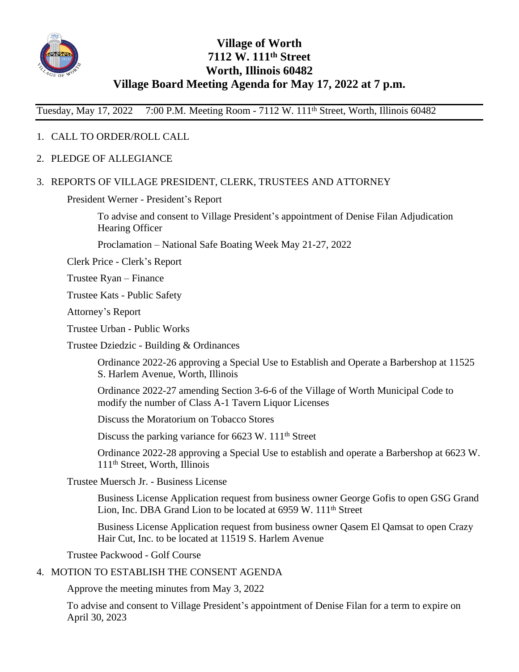

# **Village of Worth 7112 W. 111th Street Worth, Illinois 60482 Village Board Meeting Agenda for May 17, 2022 at 7 p.m.**

Tuesday, May 17, 2022 7:00 P.M. Meeting Room - 7112 W. 111th Street, Worth, Illinois 60482

### 1. CALL TO ORDER/ROLL CALL

2. PLEDGE OF ALLEGIANCE

#### 3. REPORTS OF VILLAGE PRESIDENT, CLERK, TRUSTEES AND ATTORNEY

President Werner - President's Report

To advise and consent to Village President's appointment of Denise Filan Adjudication Hearing Officer

Proclamation – National Safe Boating Week May 21-27, 2022

Clerk Price - Clerk's Report

Trustee Ryan – Finance

Trustee Kats - Public Safety

Attorney's Report

Trustee Urban - Public Works

Trustee Dziedzic - Building & Ordinances

Ordinance 2022-26 approving a Special Use to Establish and Operate a Barbershop at 11525 S. Harlem Avenue, Worth, Illinois

Ordinance 2022-27 amending Section 3-6-6 of the Village of Worth Municipal Code to modify the number of Class A-1 Tavern Liquor Licenses

Discuss the Moratorium on Tobacco Stores

Discuss the parking variance for 6623 W. 111<sup>th</sup> Street

Ordinance 2022-28 approving a Special Use to establish and operate a Barbershop at 6623 W. 111th Street, Worth, Illinois

Trustee Muersch Jr. - Business License

Business License Application request from business owner George Gofis to open GSG Grand Lion, Inc. DBA Grand Lion to be located at 6959 W. 111th Street

Business License Application request from business owner Qasem El Qamsat to open Crazy Hair Cut, Inc. to be located at 11519 S. Harlem Avenue

Trustee Packwood - Golf Course

## 4. MOTION TO ESTABLISH THE CONSENT AGENDA

Approve the meeting minutes from May 3, 2022

To advise and consent to Village President's appointment of Denise Filan for a term to expire on April 30, 2023